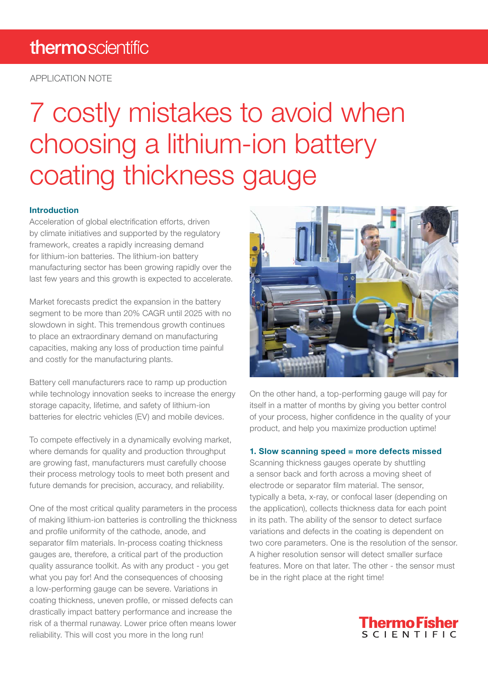# thermoscientific

APPLICATION NOTE

# 7 costly mistakes to avoid when choosing a lithium-ion battery coating thickness gauge

## Introduction

Acceleration of global electrification efforts, driven by climate initiatives and supported by the regulatory framework, creates a rapidly increasing demand for lithium-ion batteries. The lithium-ion battery manufacturing sector has been growing rapidly over the last few years and this growth is expected to accelerate.

Market forecasts predict the expansion in the battery segment to be more than 20% CAGR until 2025 with no slowdown in sight. This tremendous growth continues to place an extraordinary demand on manufacturing capacities, making any loss of production time painful and costly for the manufacturing plants.

Battery cell manufacturers race to ramp up production while technology innovation seeks to increase the energy storage capacity, lifetime, and safety of lithium-ion batteries for electric vehicles (EV) and mobile devices.

To compete effectively in a dynamically evolving market, where demands for quality and production throughput are growing fast, manufacturers must carefully choose their process metrology tools to meet both present and future demands for precision, accuracy, and reliability.

One of the most critical quality parameters in the process of making lithium-ion batteries is controlling the thickness and profile uniformity of the cathode, anode, and separator film materials. In-process coating thickness gauges are, therefore, a critical part of the production quality assurance toolkit. As with any product - you get what you pay for! And the consequences of choosing a low-performing gauge can be severe. Variations in coating thickness, uneven profile, or missed defects can drastically impact battery performance and increase the risk of a thermal runaway. Lower price often means lower reliability. This will cost you more in the long run!



On the other hand, a top-performing gauge will pay for itself in a matter of months by giving you better control of your process, higher confidence in the quality of your product, and help you maximize production uptime!

#### 1. Slow scanning speed = more defects missed

Scanning thickness gauges operate by shuttling a sensor back and forth across a moving sheet of electrode or separator film material. The sensor, typically a beta, x-ray, or confocal laser (depending on the application), collects thickness data for each point in its path. The ability of the sensor to detect surface variations and defects in the coating is dependent on two core parameters. One is the resolution of the sensor. A higher resolution sensor will detect smaller surface features. More on that later. The other - the sensor must be in the right place at the right time!

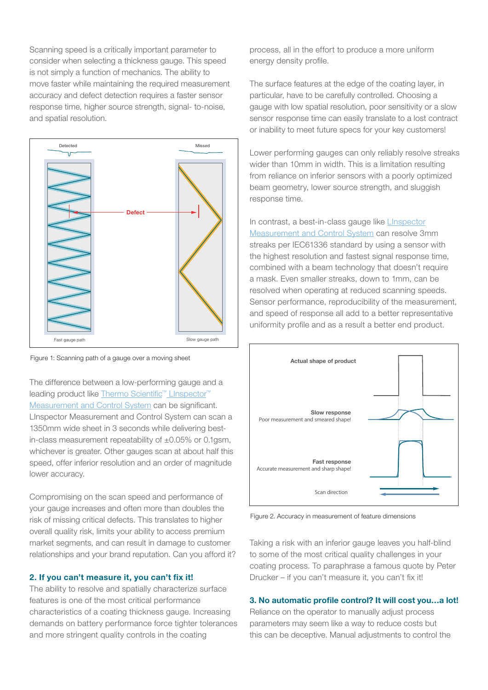Scanning speed is a critically important parameter to consider when selecting a thickness gauge. This speed is not simply a function of mechanics. The ability to move faster while maintaining the required measurement accuracy and defect detection requires a faster sensor response time, higher source strength, signal- to-noise, and spatial resolution.



Figure 1: Scanning path of a gauge over a moving sheet

The difference between a low-performing gauge and a leading product like [Thermo Scientific™ LInspector™](https://www.thermofisher.com/order/catalog/product/LICOATING#/LICOATING ) [Measurement and Control System](https://www.thermofisher.com/order/catalog/product/LICOATING#/LICOATING ) can be significant. LInspector Measurement and Control System can scan a 1350mm wide sheet in 3 seconds while delivering bestin-class measurement repeatability of  $\pm 0.05\%$  or 0.1gsm, whichever is greater. Other gauges scan at about half this speed, offer inferior resolution and an order of magnitude lower accuracy.

Compromising on the scan speed and performance of your gauge increases and often more than doubles the risk of missing critical defects. This translates to higher overall quality risk, limits your ability to access premium market segments, and can result in damage to customer relationships and your brand reputation. Can you afford it?

## 2. If you can't measure it, you can't fix it!

The ability to resolve and spatially characterize surface features is one of the most critical performance characteristics of a coating thickness gauge. Increasing demands on battery performance force tighter tolerances and more stringent quality controls in the coating

process, all in the effort to produce a more uniform energy density profile.

The surface features at the edge of the coating layer, in particular, have to be carefully controlled. Choosing a gauge with low spatial resolution, poor sensitivity or a slow sensor response time can easily translate to a lost contract or inability to meet future specs for your key customers!

Lower performing gauges can only reliably resolve streaks wider than 10mm in width. This is a limitation resulting from reliance on inferior sensors with a poorly optimized beam geometry, lower source strength, and sluggish response time.

In contrast, a best-in-class gauge like Linspector [Measurement and Control System](https://www.thermofisher.com/order/catalog/product/LICOATING#/LICOATING ) can resolve 3mm streaks per IEC61336 standard by using a sensor with the highest resolution and fastest signal response time, combined with a beam technology that doesn't require a mask. Even smaller streaks, down to 1mm, can be resolved when operating at reduced scanning speeds. Sensor performance, reproducibility of the measurement, and speed of response all add to a better representative uniformity profile and as a result a better end product.



Figure 2. Accuracy in measurement of feature dimensions

Taking a risk with an inferior gauge leaves you half-blind to some of the most critical quality challenges in your coating process. To paraphrase a famous quote by Peter Drucker – if you can't measure it, you can't fix it!

## 3. No automatic profile control? It will cost you…a lot!

Reliance on the operator to manually adjust process parameters may seem like a way to reduce costs but this can be deceptive. Manual adjustments to control the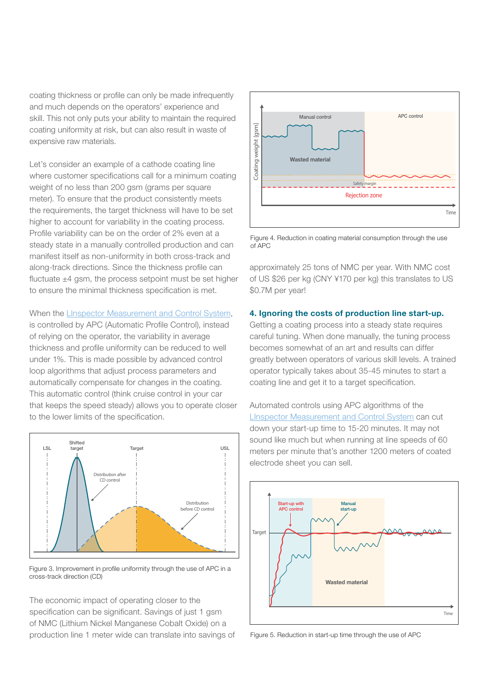coating thickness or profile can only be made infrequently and much depends on the operators' experience and skill. This not only puts your ability to maintain the required coating uniformity at risk, but can also result in waste of expensive raw materials.

Let's consider an example of a cathode coating line where customer specifications call for a minimum coating weight of no less than 200 gsm (grams per square meter). To ensure that the product consistently meets the requirements, the target thickness will have to be set higher to account for variability in the coating process. Profile variability can be on the order of 2% even at a steady state in a manually controlled production and can manifest itself as non-uniformity in both cross-track and along-track directions. Since the thickness profile can fluctuate  $\pm 4$  gsm, the process setpoint must be set higher to ensure the minimal thickness specification is met.

When the [LInspector Measurement and Control System](https://www.thermofisher.com/order/catalog/product/LICOATING#/LICOATING), is controlled by APC (Automatic Profile Control), instead of relying on the operator, the variability in average thickness and profile uniformity can be reduced to well under 1%. This is made possible by advanced control loop algorithms that adjust process parameters and automatically compensate for changes in the coating. This automatic control (think cruise control in your car that keeps the speed steady) allows you to operate closer to the lower limits of the specification.



Figure 3. Improvement in profile uniformity through the use of APC in a cross-track direction (CD)

The economic impact of operating closer to the specification can be significant. Savings of just 1 gsm of NMC (Lithium Nickel Manganese Cobalt Oxide) on a production line 1 meter wide can translate into savings of



Figure 4. Reduction in coating material consumption through the use of APC

approximately 25 tons of NMC per year. With NMC cost of US \$26 per kg (CNY ¥170 per kg) this translates to US \$0.7M per year!

#### 4. Ignoring the costs of production line start-up.

Getting a coating process into a steady state requires careful tuning. When done manually, the tuning process becomes somewhat of an art and results can differ greatly between operators of various skill levels. A trained operator typically takes about 35-45 minutes to start a coating line and get it to a target specification.





Figure 5. Reduction in start-up time through the use of APC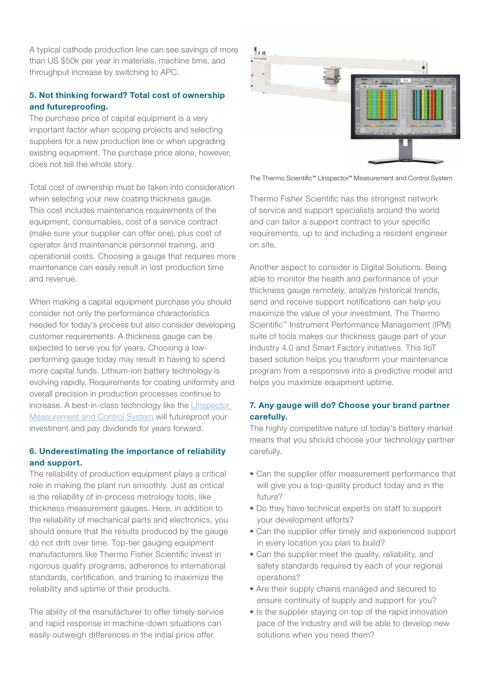A typical cathode production line can see savings of more than US \$50k per year in materials, machine time, and throughput increase by switching to APC.

# 5. Not thinking forward? Total cost of ownership and futureproofing.

The purchase price of capital equipment is a very important factor when scoping projects and selecting suppliers for a new production line or when upgrading existing equipment. The purchase price alone, however, does not tell the whole story.

Total cost of ownership must be taken into consideration when selecting your new coating thickness gauge. This cost includes maintenance requirements of the equipment, consumables, cost of a service contract (make sure your supplier can offer one), plus cost of operator and maintenance personnel training, and operational costs. Choosing a gauge that requires more maintenance can easily result in lost production time and revenue.

When making a capital equipment purchase you should consider not only the performance characteristics needed for today's process but also consider developing customer requirements. A thickness gauge can be expected to serve you for years. Choosing a lowperforming gauge today may result in having to spend more capital funds. Lithium-ion battery technology is evolving rapidly. Requirements for coating uniformity and overall precision in production processes continue to increase. A best-in-class technology like the [LInspector](https://www.thermofisher.com/order/catalog/product/LICOATING#/LICOATING )  [Measurement and Control System](https://www.thermofisher.com/order/catalog/product/LICOATING#/LICOATING ) will futureproof your investment and pay dividends for years forward.

# 6. Underestimating the importance of reliability and support.

The reliability of production equipment plays a critical role in making the plant run smoothly. Just as critical is the reliability of in-process metrology tools, like thickness measurement gauges. Here, in addition to the reliability of mechanical parts and electronics, you should ensure that the results produced by the gauge do not drift over time. Top-tier gauging equipment manufacturers like Thermo Fisher Scientific invest in rigorous quality programs, adherence to international standards, certification, and training to maximize the reliability and uptime of their products.

The ability of the manufacturer to offer timely service and rapid response in machine-down situations can easily outweigh differences in the initial price offer.



The Thermo Scientific™ LInspector™ Measurement and Control System

Thermo Fisher Scientific has the strongest network of service and support specialists around the world and can tailor a support contract to your specific requirements, up to and including a resident engineer on site.

Another aspect to consider is Digital Solutions. Being able to monitor the health and performance of your thickness gauge remotely, analyze historical trends, send and receive support notifications can help you maximize the value of your investment. The Thermo Scientific™ Instrument Performance Management (IPM) suite of tools makes our thickness gauge part of your Industry 4.0 and Smart Factory initiatives. This IIoT based solution helps you transform your maintenance program from a responsive into a predictive model and helps you maximize equipment uptime.

# 7. Any gauge will do? Choose your brand partner carefully.

The highly competitive nature of today's battery market means that you should choose your technology partner carefully.

- Can the supplier offer measurement performance that will give you a top-quality product today and in the future?
- Do they have technical experts on staff to support your development efforts?
- Can the supplier offer timely and experienced support in every location you plan to build?
- Can the supplier meet the quality, reliability, and safety standards required by each of your regional operations?
- Are their supply chains managed and secured to ensure continuity of supply and support for you?
- Is the supplier staying on top of the rapid innovation pace of the industry and will be able to develop new solutions when you need them?